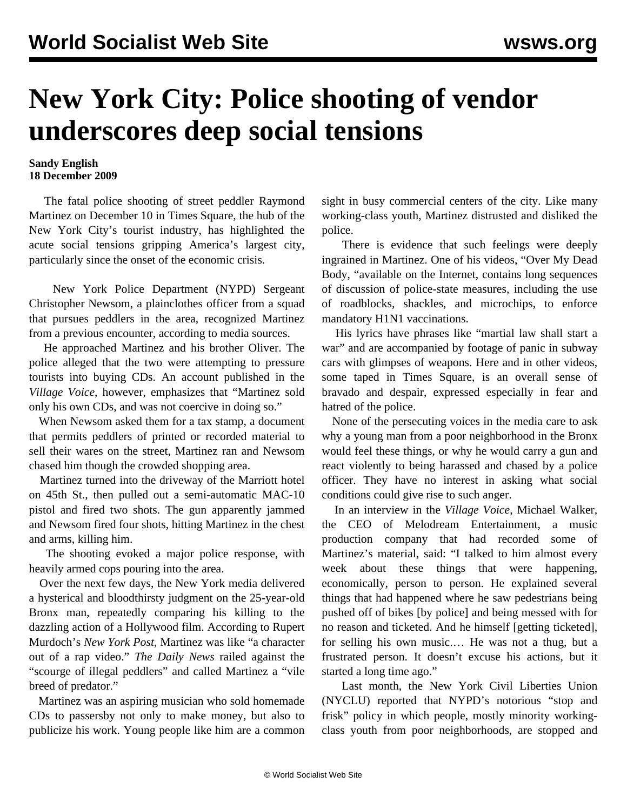## **New York City: Police shooting of vendor underscores deep social tensions**

## **Sandy English 18 December 2009**

 The fatal police shooting of street peddler Raymond Martinez on December 10 in Times Square, the hub of the New York City's tourist industry, has highlighted the acute social tensions gripping America's largest city, particularly since the onset of the economic crisis.

 New York Police Department (NYPD) Sergeant Christopher Newsom, a plainclothes officer from a squad that pursues peddlers in the area, recognized Martinez from a previous encounter, according to media sources.

 He approached Martinez and his brother Oliver. The police alleged that the two were attempting to pressure tourists into buying CDs. An account published in the *Village Voice*, however, emphasizes that "Martinez sold only his own CDs, and was not coercive in doing so."

 When Newsom asked them for a tax stamp, a document that permits peddlers of printed or recorded material to sell their wares on the street, Martinez ran and Newsom chased him though the crowded shopping area.

 Martinez turned into the driveway of the Marriott hotel on 45th St., then pulled out a semi-automatic MAC-10 pistol and fired two shots. The gun apparently jammed and Newsom fired four shots, hitting Martinez in the chest and arms, killing him.

 The shooting evoked a major police response, with heavily armed cops pouring into the area.

 Over the next few days, the New York media delivered a hysterical and bloodthirsty judgment on the 25-year-old Bronx man, repeatedly comparing his killing to the dazzling action of a Hollywood film. According to Rupert Murdoch's *New York Post*, Martinez was like "a character out of a rap video." *The Daily News* railed against the "scourge of illegal peddlers" and called Martinez a "vile breed of predator."

 Martinez was an aspiring musician who sold homemade CDs to passersby not only to make money, but also to publicize his work. Young people like him are a common sight in busy commercial centers of the city. Like many working-class youth, Martinez distrusted and disliked the police.

 There is evidence that such feelings were deeply ingrained in Martinez. One of his videos, "Over My Dead Body, "available on the Internet, contains long sequences of discussion of police-state measures, including the use of roadblocks, shackles, and microchips, to enforce mandatory H1N1 vaccinations.

 His lyrics have phrases like "martial law shall start a war" and are accompanied by footage of panic in subway cars with glimpses of weapons. Here and in other videos, some taped in Times Square, is an overall sense of bravado and despair, expressed especially in fear and hatred of the police.

 None of the persecuting voices in the media care to ask why a young man from a poor neighborhood in the Bronx would feel these things, or why he would carry a gun and react violently to being harassed and chased by a police officer. They have no interest in asking what social conditions could give rise to such anger.

 In an interview in the *Village Voice*, Michael Walker, the CEO of Melodream Entertainment, a music production company that had recorded some of Martinez's material, said: "I talked to him almost every week about these things that were happening, economically, person to person. He explained several things that had happened where he saw pedestrians being pushed off of bikes [by police] and being messed with for no reason and ticketed. And he himself [getting ticketed], for selling his own music.… He was not a thug, but a frustrated person. It doesn't excuse his actions, but it started a long time ago."

 Last month, the New York Civil Liberties Union (NYCLU) reported that NYPD's notorious "stop and frisk" policy in which people, mostly minority workingclass youth from poor neighborhoods, are stopped and